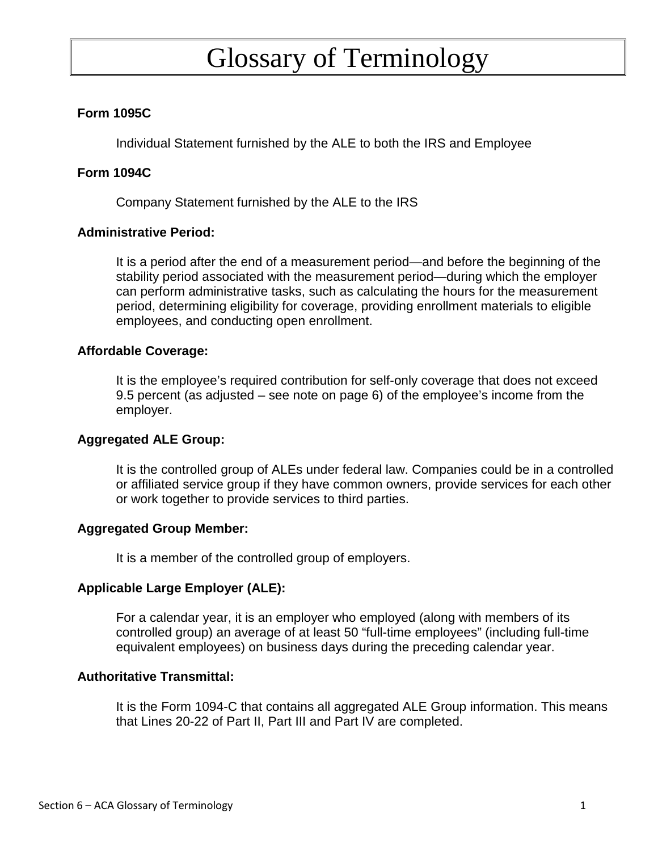# Glossary of Terminology

## **Form 1095C**

Individual Statement furnished by the ALE to both the IRS and Employee

#### **Form 1094C**

Company Statement furnished by the ALE to the IRS

#### **Administrative Period:**

It is a period after the end of a measurement period—and before the beginning of the stability period associated with the measurement period—during which the employer can perform administrative tasks, such as calculating the hours for the measurement period, determining eligibility for coverage, providing enrollment materials to eligible employees, and conducting open enrollment.

#### **Affordable Coverage:**

It is the employee's required contribution for self-only coverage that does not exceed 9.5 percent (as adjusted – see note on page 6) of the employee's income from the employer.

#### **Aggregated ALE Group:**

It is the controlled group of ALEs under federal law. Companies could be in a controlled or affiliated service group if they have common owners, provide services for each other or work together to provide services to third parties.

#### **Aggregated Group Member:**

It is a member of the controlled group of employers.

## **Applicable Large Employer (ALE):**

For a calendar year, it is an employer who employed (along with members of its controlled group) an average of at least 50 "full-time employees" (including full-time equivalent employees) on business days during the preceding calendar year.

#### **Authoritative Transmittal:**

It is the Form 1094-C that contains all aggregated ALE Group information. This means that Lines 20-22 of Part II, Part III and Part IV are completed.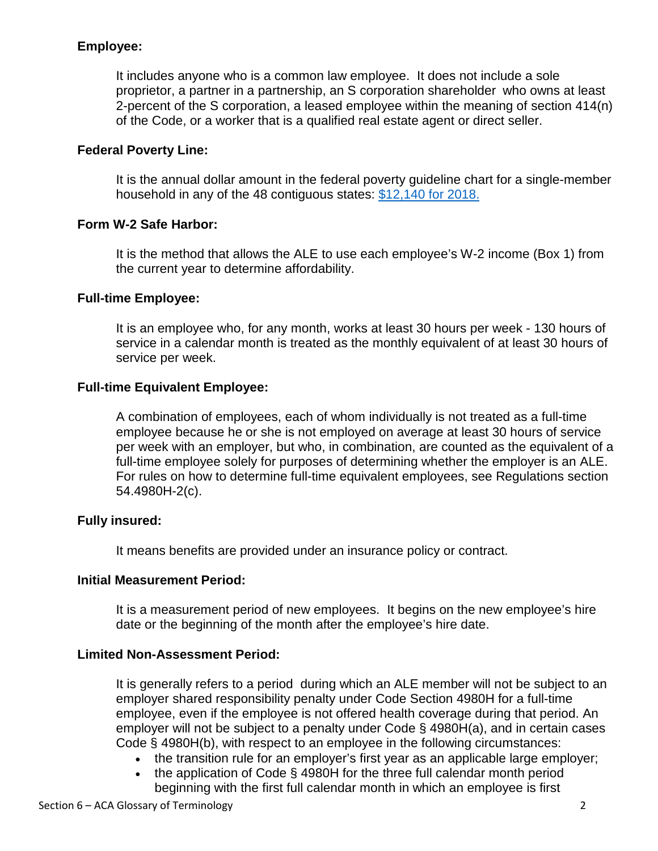# **Employee:**

It includes anyone who is a common law employee. It does not include a sole proprietor, a partner in a partnership, an S corporation shareholder who owns at least 2-percent of the S corporation, a leased employee within the meaning of section 414(n) of the Code, or a worker that is a qualified real estate agent or direct seller.

# **Federal Poverty Line:**

It is the annual dollar amount in the federal poverty guideline chart for a single-member household in any of the 48 contiguous states: [\\$12,140 for 201](https://aspe.hhs.gov/poverty-guidelines)8.

# **Form W-2 Safe Harbor:**

It is the method that allows the ALE to use each employee's W-2 income (Box 1) from the current year to determine affordability.

## **Full-time Employee:**

It is an employee who, for any month, works at least 30 hours per week - 130 hours of service in a calendar month is treated as the monthly equivalent of at least 30 hours of service per week.

## **Full-time Equivalent Employee:**

A combination of employees, each of whom individually is not treated as a full-time employee because he or she is not employed on average at least 30 hours of service per week with an employer, but who, in combination, are counted as the equivalent of a full-time employee solely for purposes of determining whether the employer is an ALE. For rules on how to determine full-time equivalent employees, see Regulations section 54.4980H-2(c).

## **Fully insured:**

It means benefits are provided under an insurance policy or contract.

## **Initial Measurement Period:**

It is a measurement period of new employees. It begins on the new employee's hire date or the beginning of the month after the employee's hire date.

## **Limited Non-Assessment Period:**

It is generally refers to a period during which an ALE member will not be subject to an employer shared responsibility penalty under Code Section 4980H for a full-time employee, even if the employee is not offered health coverage during that period. An employer will not be subject to a penalty under Code § 4980H(a), and in certain cases Code § 4980H(b), with respect to an employee in the following circumstances:

- the transition rule for an employer's first year as an applicable large employer;
- the application of Code § 4980H for the three full calendar month period beginning with the first full calendar month in which an employee is first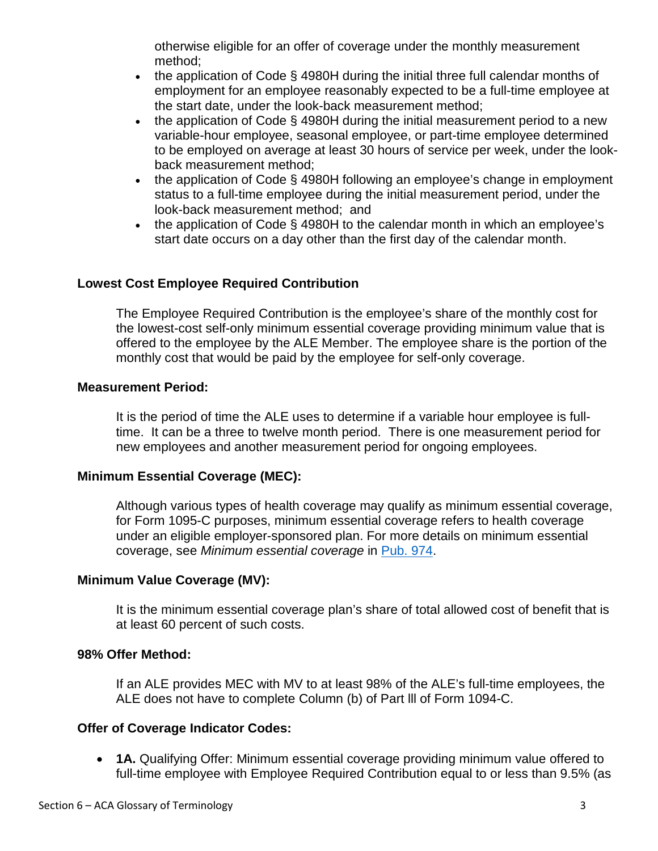otherwise eligible for an offer of coverage under the monthly measurement method;

- the application of Code  $\S$  4980H during the initial three full calendar months of employment for an employee reasonably expected to be a full-time employee at the start date, under the look-back measurement method;
- the application of Code § 4980H during the initial measurement period to a new variable-hour employee, seasonal employee, or part-time employee determined to be employed on average at least 30 hours of service per week, under the lookback measurement method;
- the application of Code § 4980H following an employee's change in employment status to a full-time employee during the initial measurement period, under the look-back measurement method; and
- the application of Code § 4980H to the calendar month in which an employee's start date occurs on a day other than the first day of the calendar month.

# **Lowest Cost Employee Required Contribution**

The Employee Required Contribution is the employee's share of the monthly cost for the lowest-cost self-only minimum essential coverage providing minimum value that is offered to the employee by the ALE Member. The employee share is the portion of the monthly cost that would be paid by the employee for self-only coverage.

#### **Measurement Period:**

It is the period of time the ALE uses to determine if a variable hour employee is fulltime. It can be a three to twelve month period. There is one measurement period for new employees and another measurement period for ongoing employees.

## **Minimum Essential Coverage (MEC):**

Although various types of health coverage may qualify as minimum essential coverage, for Form 1095-C purposes, minimum essential coverage refers to health coverage under an eligible employer-sponsored plan. For more details on minimum essential coverage, see *Minimum essential coverage* in [Pub. 974.](https://www.irs.gov/pub/irs-pdf/p974.pdf)

## **Minimum Value Coverage (MV):**

It is the minimum essential coverage plan's share of total allowed cost of benefit that is at least 60 percent of such costs.

#### **98% Offer Method:**

If an ALE provides MEC with MV to at least 98% of the ALE's full-time employees, the ALE does not have to complete Column (b) of Part lll of Form 1094-C.

#### **Offer of Coverage Indicator Codes:**

 **1A.** Qualifying Offer: Minimum essential coverage providing minimum value offered to full-time employee with Employee Required Contribution equal to or less than 9.5% (as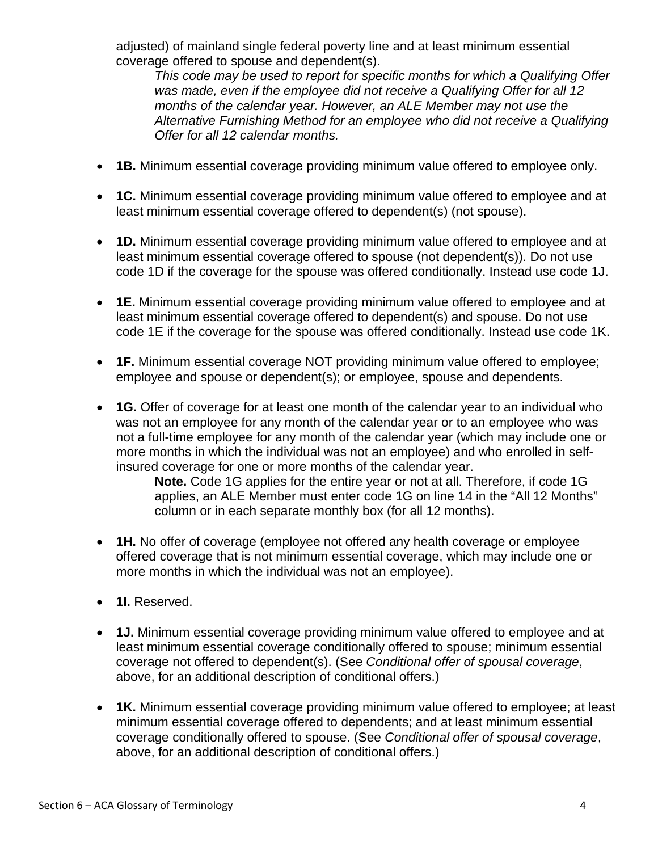adjusted) of mainland single federal poverty line and at least minimum essential coverage offered to spouse and dependent(s).

*This code may be used to report for specific months for which a Qualifying Offer was made, even if the employee did not receive a Qualifying Offer for all 12 months of the calendar year. However, an ALE Member may not use the Alternative Furnishing Method for an employee who did not receive a Qualifying Offer for all 12 calendar months.* 

- **1B.** Minimum essential coverage providing minimum value offered to employee only.
- **1C.** Minimum essential coverage providing minimum value offered to employee and at least minimum essential coverage offered to dependent(s) (not spouse).
- **1D.** Minimum essential coverage providing minimum value offered to employee and at least minimum essential coverage offered to spouse (not dependent(s)). Do not use code 1D if the coverage for the spouse was offered conditionally. Instead use code 1J.
- **1E.** Minimum essential coverage providing minimum value offered to employee and at least minimum essential coverage offered to dependent(s) and spouse. Do not use code 1E if the coverage for the spouse was offered conditionally. Instead use code 1K.
- **1F.** Minimum essential coverage NOT providing minimum value offered to employee; employee and spouse or dependent(s); or employee, spouse and dependents.
- **1G.** Offer of coverage for at least one month of the calendar year to an individual who was not an employee for any month of the calendar year or to an employee who was not a full-time employee for any month of the calendar year (which may include one or more months in which the individual was not an employee) and who enrolled in selfinsured coverage for one or more months of the calendar year.

**Note.** Code 1G applies for the entire year or not at all. Therefore, if code 1G applies, an ALE Member must enter code 1G on line 14 in the "All 12 Months" column or in each separate monthly box (for all 12 months).

- **1H.** No offer of coverage (employee not offered any health coverage or employee offered coverage that is not minimum essential coverage, which may include one or more months in which the individual was not an employee).
- **1I.** Reserved.
- **1J.** Minimum essential coverage providing minimum value offered to employee and at least minimum essential coverage conditionally offered to spouse; minimum essential coverage not offered to dependent(s). (See *Conditional offer of spousal coverage*, above, for an additional description of conditional offers.)
- **1K.** Minimum essential coverage providing minimum value offered to employee; at least minimum essential coverage offered to dependents; and at least minimum essential coverage conditionally offered to spouse. (See *Conditional offer of spousal coverage*, above, for an additional description of conditional offers.)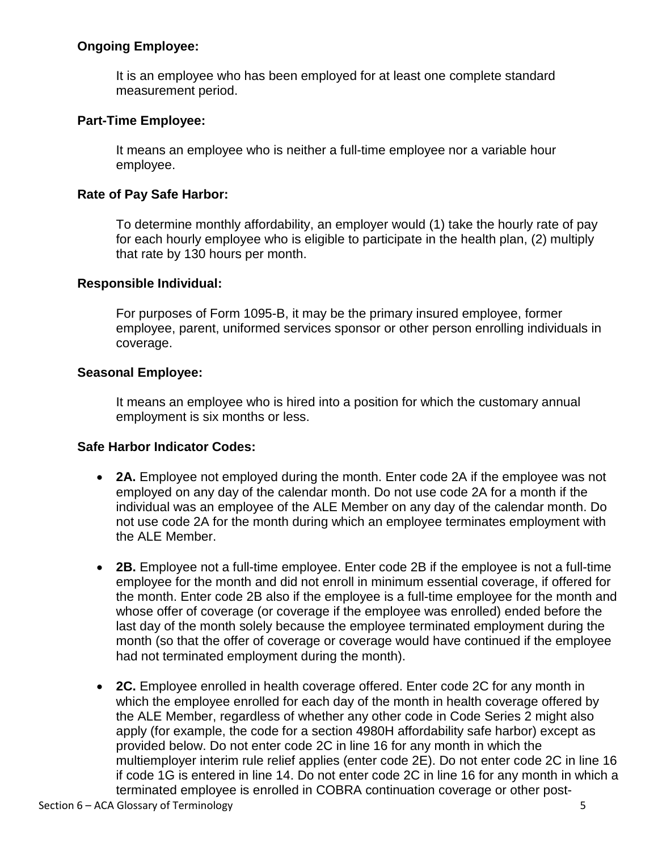# **Ongoing Employee:**

It is an employee who has been employed for at least one complete standard measurement period.

# **Part-Time Employee:**

It means an employee who is neither a full-time employee nor a variable hour employee.

# **Rate of Pay Safe Harbor:**

To determine monthly affordability, an employer would (1) take the hourly rate of pay for each hourly employee who is eligible to participate in the health plan, (2) multiply that rate by 130 hours per month.

## **Responsible Individual:**

For purposes of Form 1095-B, it may be the primary insured employee, former employee, parent, uniformed services sponsor or other person enrolling individuals in coverage.

# **Seasonal Employee:**

It means an employee who is hired into a position for which the customary annual employment is six months or less.

## **Safe Harbor Indicator Codes:**

- **2A.** Employee not employed during the month. Enter code 2A if the employee was not employed on any day of the calendar month. Do not use code 2A for a month if the individual was an employee of the ALE Member on any day of the calendar month. Do not use code 2A for the month during which an employee terminates employment with the ALE Member.
- **2B.** Employee not a full-time employee. Enter code 2B if the employee is not a full-time employee for the month and did not enroll in minimum essential coverage, if offered for the month. Enter code 2B also if the employee is a full-time employee for the month and whose offer of coverage (or coverage if the employee was enrolled) ended before the last day of the month solely because the employee terminated employment during the month (so that the offer of coverage or coverage would have continued if the employee had not terminated employment during the month).
- **2C.** Employee enrolled in health coverage offered. Enter code 2C for any month in which the employee enrolled for each day of the month in health coverage offered by the ALE Member, regardless of whether any other code in Code Series 2 might also apply (for example, the code for a section 4980H affordability safe harbor) except as provided below. Do not enter code 2C in line 16 for any month in which the multiemployer interim rule relief applies (enter code 2E). Do not enter code 2C in line 16 if code 1G is entered in line 14. Do not enter code 2C in line 16 for any month in which a terminated employee is enrolled in COBRA continuation coverage or other post-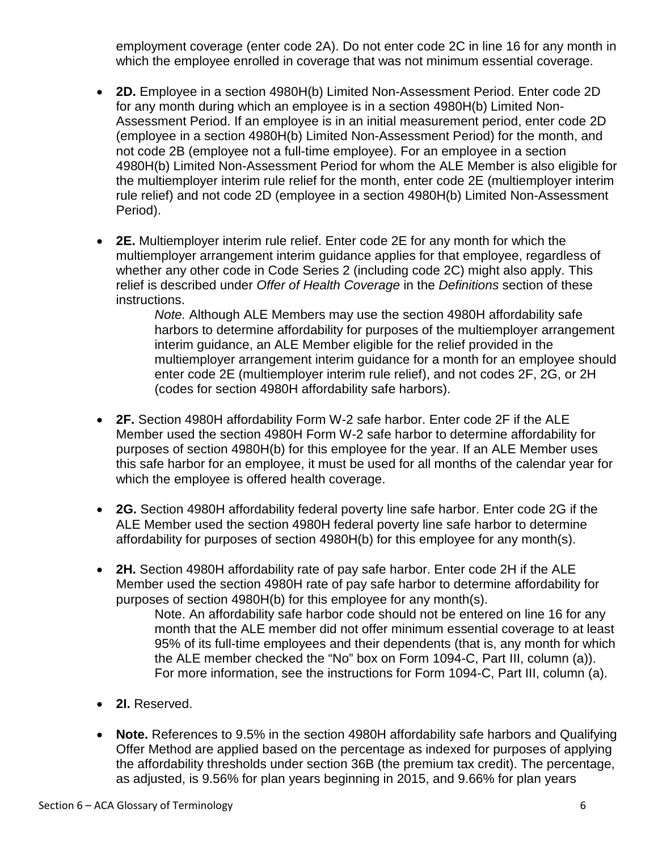employment coverage (enter code 2A). Do not enter code 2C in line 16 for any month in which the employee enrolled in coverage that was not minimum essential coverage.

- **2D.** Employee in a section 4980H(b) Limited Non-Assessment Period. Enter code 2D for any month during which an employee is in a section 4980H(b) Limited Non-Assessment Period. If an employee is in an initial measurement period, enter code 2D (employee in a section 4980H(b) Limited Non-Assessment Period) for the month, and not code 2B (employee not a full-time employee). For an employee in a section 4980H(b) Limited Non-Assessment Period for whom the ALE Member is also eligible for the multiemployer interim rule relief for the month, enter code 2E (multiemployer interim rule relief) and not code 2D (employee in a section 4980H(b) Limited Non-Assessment Period).
- **2E.** Multiemployer interim rule relief. Enter code 2E for any month for which the multiemployer arrangement interim guidance applies for that employee, regardless of whether any other code in Code Series 2 (including code 2C) might also apply. This relief is described under *Offer of Health Coverage* in the *Definitions* section of these instructions.

*Note.* Although ALE Members may use the section 4980H affordability safe harbors to determine affordability for purposes of the multiemployer arrangement interim guidance, an ALE Member eligible for the relief provided in the multiemployer arrangement interim guidance for a month for an employee should enter code 2E (multiemployer interim rule relief), and not codes 2F, 2G, or 2H (codes for section 4980H affordability safe harbors).

- **2F.** Section 4980H affordability Form W-2 safe harbor. Enter code 2F if the ALE Member used the section 4980H Form W-2 safe harbor to determine affordability for purposes of section 4980H(b) for this employee for the year. If an ALE Member uses this safe harbor for an employee, it must be used for all months of the calendar year for which the employee is offered health coverage.
- **2G.** Section 4980H affordability federal poverty line safe harbor. Enter code 2G if the ALE Member used the section 4980H federal poverty line safe harbor to determine affordability for purposes of section 4980H(b) for this employee for any month(s).
- **2H.** Section 4980H affordability rate of pay safe harbor. Enter code 2H if the ALE Member used the section 4980H rate of pay safe harbor to determine affordability for purposes of section 4980H(b) for this employee for any month(s).

Note. An affordability safe harbor code should not be entered on line 16 for any month that the ALE member did not offer minimum essential coverage to at least 95% of its full-time employees and their dependents (that is, any month for which the ALE member checked the "No" box on Form 1094-C, Part III, column (a)). For more information, see the instructions for Form 1094-C, Part III, column (a).

- **2I.** Reserved.
- **Note.** References to 9.5% in the section 4980H affordability safe harbors and Qualifying Offer Method are applied based on the percentage as indexed for purposes of applying the affordability thresholds under section 36B (the premium tax credit). The percentage, as adjusted, is 9.56% for plan years beginning in 2015, and 9.66% for plan years